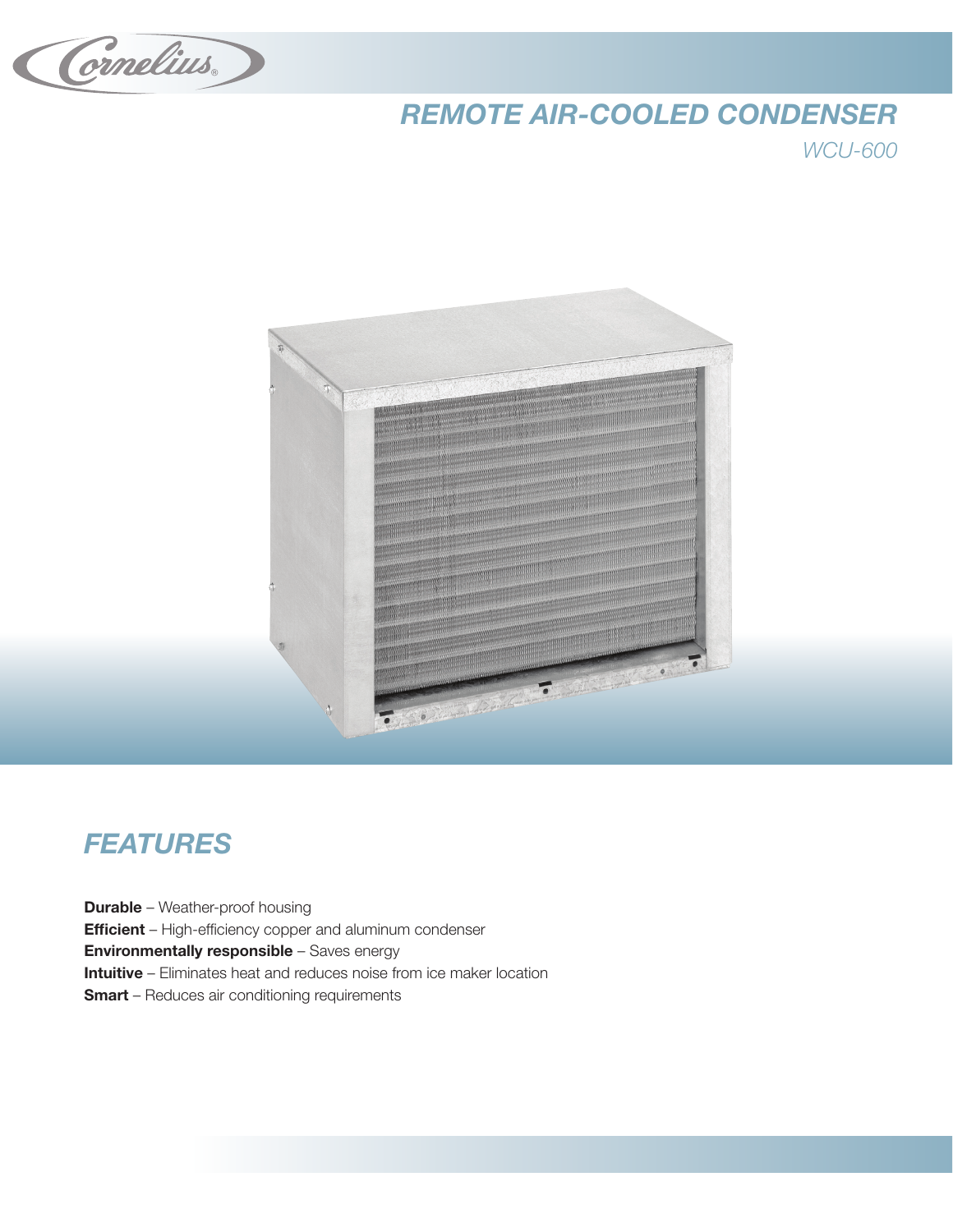Cornelius

## *REMOTE AIR-COOLED CONDENSER*

*WCU-600*



## *FEATURES*

**Durable** – Weather-proof housing **Efficient** – High-efficiency copper and aluminum condenser Environmentally responsible – Saves energy Intuitive – Eliminates heat and reduces noise from ice maker location **Smart** – Reduces air conditioning requirements